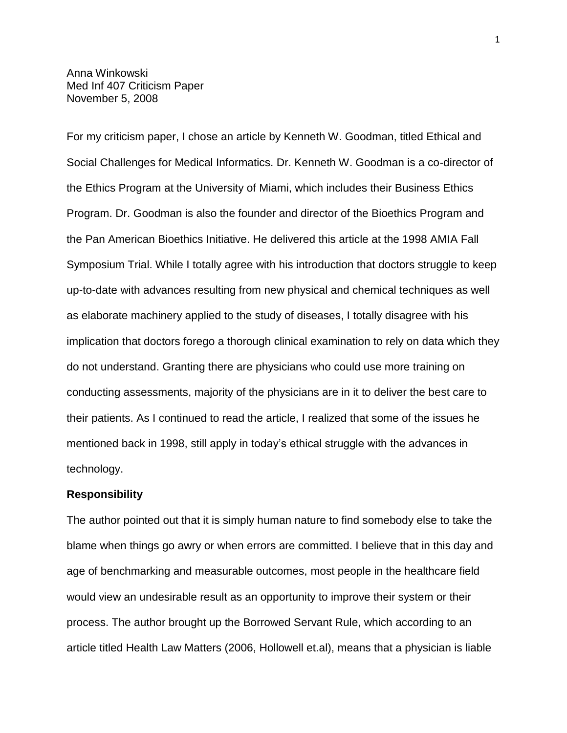Anna Winkowski Med Inf 407 Criticism Paper November 5, 2008

For my criticism paper, I chose an article by Kenneth W. Goodman, titled Ethical and Social Challenges for Medical Informatics. Dr. Kenneth W. Goodman is a co-director of the Ethics Program at the University of Miami, which includes their Business Ethics Program. Dr. Goodman is also the founder and director of the Bioethics Program and the Pan American Bioethics Initiative. He delivered this article at the 1998 AMIA Fall Symposium Trial. While I totally agree with his introduction that doctors struggle to keep up-to-date with advances resulting from new physical and chemical techniques as well as elaborate machinery applied to the study of diseases, I totally disagree with his implication that doctors forego a thorough clinical examination to rely on data which they do not understand. Granting there are physicians who could use more training on conducting assessments, majority of the physicians are in it to deliver the best care to their patients. As I continued to read the article, I realized that some of the issues he mentioned back in 1998, still apply in today"s ethical struggle with the advances in technology.

## **Responsibility**

The author pointed out that it is simply human nature to find somebody else to take the blame when things go awry or when errors are committed. I believe that in this day and age of benchmarking and measurable outcomes, most people in the healthcare field would view an undesirable result as an opportunity to improve their system or their process. The author brought up the Borrowed Servant Rule, which according to an article titled Health Law Matters (2006, Hollowell et.al), means that a physician is liable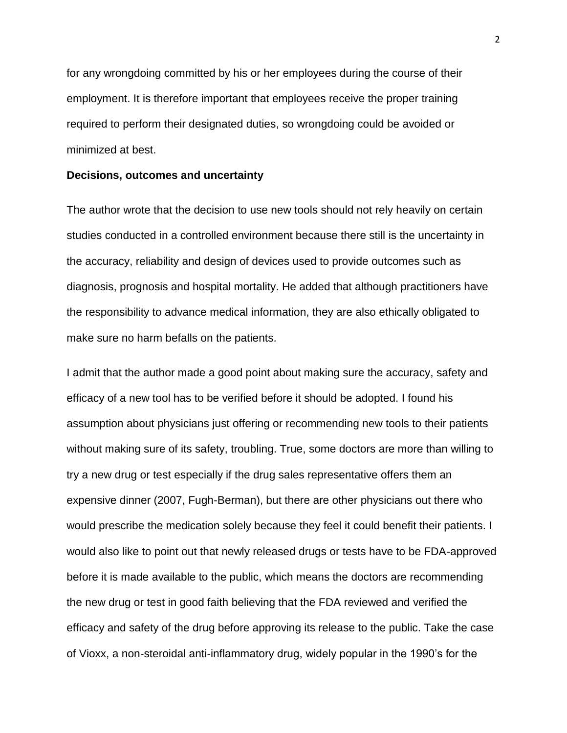for any wrongdoing committed by his or her employees during the course of their employment. It is therefore important that employees receive the proper training required to perform their designated duties, so wrongdoing could be avoided or minimized at best.

#### **Decisions, outcomes and uncertainty**

The author wrote that the decision to use new tools should not rely heavily on certain studies conducted in a controlled environment because there still is the uncertainty in the accuracy, reliability and design of devices used to provide outcomes such as diagnosis, prognosis and hospital mortality. He added that although practitioners have the responsibility to advance medical information, they are also ethically obligated to make sure no harm befalls on the patients.

I admit that the author made a good point about making sure the accuracy, safety and efficacy of a new tool has to be verified before it should be adopted. I found his assumption about physicians just offering or recommending new tools to their patients without making sure of its safety, troubling. True, some doctors are more than willing to try a new drug or test especially if the drug sales representative offers them an expensive dinner (2007, Fugh-Berman), but there are other physicians out there who would prescribe the medication solely because they feel it could benefit their patients. I would also like to point out that newly released drugs or tests have to be FDA-approved before it is made available to the public, which means the doctors are recommending the new drug or test in good faith believing that the FDA reviewed and verified the efficacy and safety of the drug before approving its release to the public. Take the case of Vioxx, a non-steroidal anti-inflammatory drug, widely popular in the 1990"s for the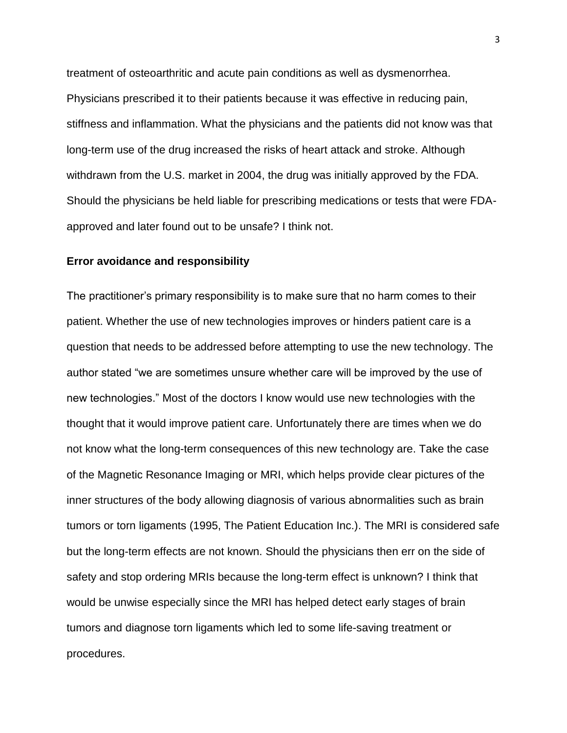treatment of osteoarthritic and acute pain conditions as well as dysmenorrhea. Physicians prescribed it to their patients because it was effective in reducing pain, stiffness and inflammation. What the physicians and the patients did not know was that long-term use of the drug increased the risks of heart attack and stroke. Although withdrawn from the U.S. market in 2004, the drug was initially approved by the FDA. Should the physicians be held liable for prescribing medications or tests that were FDAapproved and later found out to be unsafe? I think not.

#### **Error avoidance and responsibility**

The practitioner"s primary responsibility is to make sure that no harm comes to their patient. Whether the use of new technologies improves or hinders patient care is a question that needs to be addressed before attempting to use the new technology. The author stated "we are sometimes unsure whether care will be improved by the use of new technologies." Most of the doctors I know would use new technologies with the thought that it would improve patient care. Unfortunately there are times when we do not know what the long-term consequences of this new technology are. Take the case of the Magnetic Resonance Imaging or MRI, which helps provide clear pictures of the inner structures of the body allowing diagnosis of various abnormalities such as brain tumors or torn ligaments (1995, The Patient Education Inc.). The MRI is considered safe but the long-term effects are not known. Should the physicians then err on the side of safety and stop ordering MRIs because the long-term effect is unknown? I think that would be unwise especially since the MRI has helped detect early stages of brain tumors and diagnose torn ligaments which led to some life-saving treatment or procedures.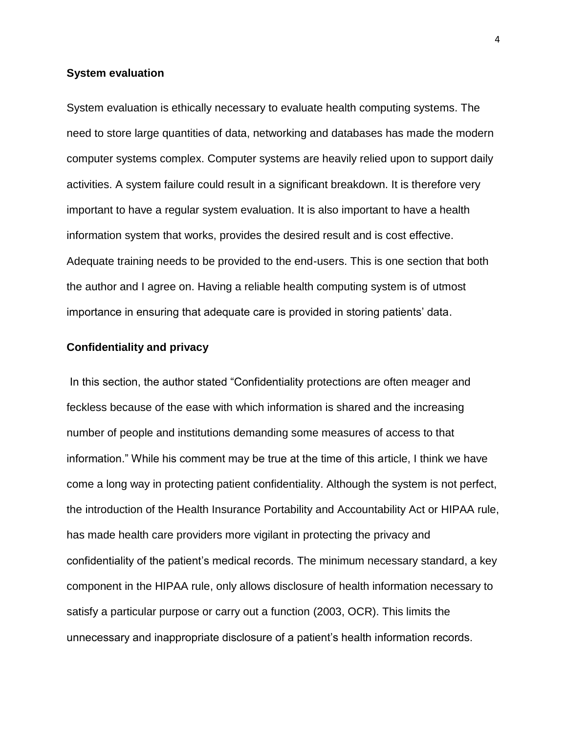### **System evaluation**

System evaluation is ethically necessary to evaluate health computing systems. The need to store large quantities of data, networking and databases has made the modern computer systems complex. Computer systems are heavily relied upon to support daily activities. A system failure could result in a significant breakdown. It is therefore very important to have a regular system evaluation. It is also important to have a health information system that works, provides the desired result and is cost effective. Adequate training needs to be provided to the end-users. This is one section that both the author and I agree on. Having a reliable health computing system is of utmost importance in ensuring that adequate care is provided in storing patients" data.

## **Confidentiality and privacy**

In this section, the author stated "Confidentiality protections are often meager and feckless because of the ease with which information is shared and the increasing number of people and institutions demanding some measures of access to that information." While his comment may be true at the time of this article, I think we have come a long way in protecting patient confidentiality. Although the system is not perfect, the introduction of the Health Insurance Portability and Accountability Act or HIPAA rule, has made health care providers more vigilant in protecting the privacy and confidentiality of the patient"s medical records. The minimum necessary standard, a key component in the HIPAA rule, only allows disclosure of health information necessary to satisfy a particular purpose or carry out a function (2003, OCR). This limits the unnecessary and inappropriate disclosure of a patient"s health information records.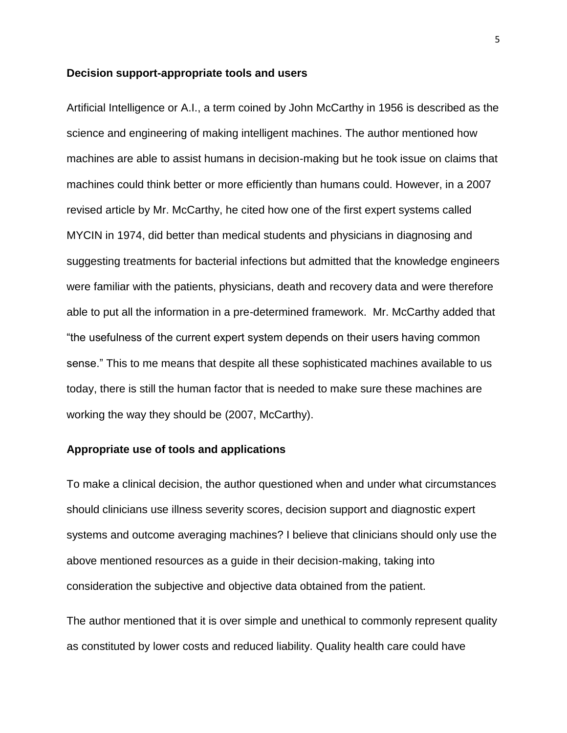#### **Decision support-appropriate tools and users**

Artificial Intelligence or A.I., a term coined by John McCarthy in 1956 is described as the science and engineering of making intelligent machines. The author mentioned how machines are able to assist humans in decision-making but he took issue on claims that machines could think better or more efficiently than humans could. However, in a 2007 revised article by Mr. McCarthy, he cited how one of the first expert systems called MYCIN in 1974, did better than medical students and physicians in diagnosing and suggesting treatments for bacterial infections but admitted that the knowledge engineers were familiar with the patients, physicians, death and recovery data and were therefore able to put all the information in a pre-determined framework. Mr. McCarthy added that "the usefulness of the current expert system depends on their users having common sense." This to me means that despite all these sophisticated machines available to us today, there is still the human factor that is needed to make sure these machines are working the way they should be (2007, McCarthy).

## **Appropriate use of tools and applications**

To make a clinical decision, the author questioned when and under what circumstances should clinicians use illness severity scores, decision support and diagnostic expert systems and outcome averaging machines? I believe that clinicians should only use the above mentioned resources as a guide in their decision-making, taking into consideration the subjective and objective data obtained from the patient.

The author mentioned that it is over simple and unethical to commonly represent quality as constituted by lower costs and reduced liability. Quality health care could have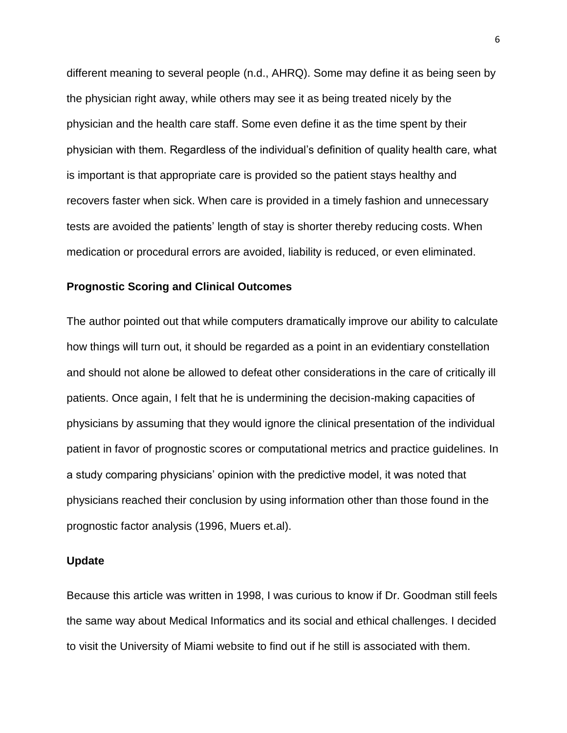different meaning to several people (n.d., AHRQ). Some may define it as being seen by the physician right away, while others may see it as being treated nicely by the physician and the health care staff. Some even define it as the time spent by their physician with them. Regardless of the individual"s definition of quality health care, what is important is that appropriate care is provided so the patient stays healthy and recovers faster when sick. When care is provided in a timely fashion and unnecessary tests are avoided the patients" length of stay is shorter thereby reducing costs. When medication or procedural errors are avoided, liability is reduced, or even eliminated.

## **Prognostic Scoring and Clinical Outcomes**

The author pointed out that while computers dramatically improve our ability to calculate how things will turn out, it should be regarded as a point in an evidentiary constellation and should not alone be allowed to defeat other considerations in the care of critically ill patients. Once again, I felt that he is undermining the decision-making capacities of physicians by assuming that they would ignore the clinical presentation of the individual patient in favor of prognostic scores or computational metrics and practice guidelines. In a study comparing physicians' opinion with the predictive model, it was noted that physicians reached their conclusion by using information other than those found in the prognostic factor analysis (1996, Muers et.al).

## **Update**

Because this article was written in 1998, I was curious to know if Dr. Goodman still feels the same way about Medical Informatics and its social and ethical challenges. I decided to visit the University of Miami website to find out if he still is associated with them.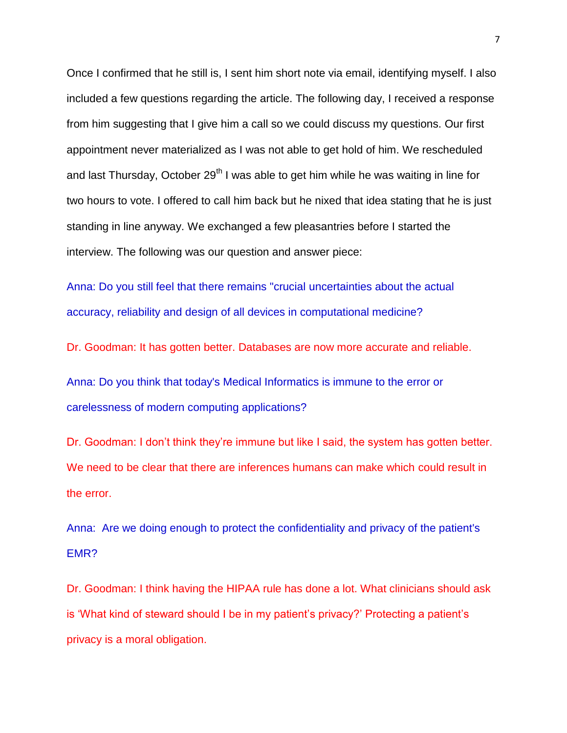Once I confirmed that he still is, I sent him short note via email, identifying myself. I also included a few questions regarding the article. The following day, I received a response from him suggesting that I give him a call so we could discuss my questions. Our first appointment never materialized as I was not able to get hold of him. We rescheduled and last Thursday, October 29<sup>th</sup> I was able to get him while he was waiting in line for two hours to vote. I offered to call him back but he nixed that idea stating that he is just standing in line anyway. We exchanged a few pleasantries before I started the interview. The following was our question and answer piece:

Anna: Do you still feel that there remains "crucial uncertainties about the actual accuracy, reliability and design of all devices in computational medicine?

Dr. Goodman: It has gotten better. Databases are now more accurate and reliable.

Anna: Do you think that today's Medical Informatics is immune to the error or carelessness of modern computing applications?

Dr. Goodman: I don't think they're immune but like I said, the system has gotten better. We need to be clear that there are inferences humans can make which could result in the error.

Anna: Are we doing enough to protect the confidentiality and privacy of the patient's EMR?

Dr. Goodman: I think having the HIPAA rule has done a lot. What clinicians should ask is 'What kind of steward should I be in my patient's privacy?' Protecting a patient's privacy is a moral obligation.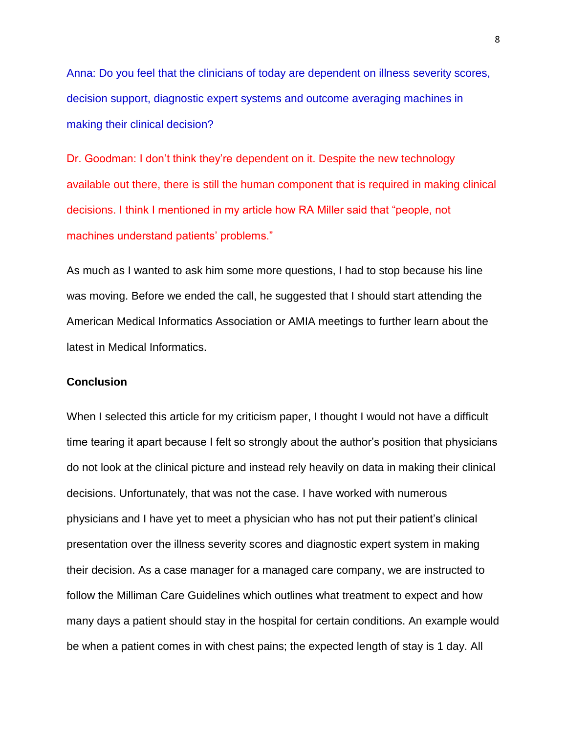Anna: Do you feel that the clinicians of today are dependent on illness severity scores, decision support, diagnostic expert systems and outcome averaging machines in making their clinical decision?

Dr. Goodman: I don"t think they"re dependent on it. Despite the new technology available out there, there is still the human component that is required in making clinical decisions. I think I mentioned in my article how RA Miller said that "people, not machines understand patients' problems."

As much as I wanted to ask him some more questions, I had to stop because his line was moving. Before we ended the call, he suggested that I should start attending the American Medical Informatics Association or AMIA meetings to further learn about the latest in Medical Informatics.

## **Conclusion**

When I selected this article for my criticism paper, I thought I would not have a difficult time tearing it apart because I felt so strongly about the author"s position that physicians do not look at the clinical picture and instead rely heavily on data in making their clinical decisions. Unfortunately, that was not the case. I have worked with numerous physicians and I have yet to meet a physician who has not put their patient"s clinical presentation over the illness severity scores and diagnostic expert system in making their decision. As a case manager for a managed care company, we are instructed to follow the Milliman Care Guidelines which outlines what treatment to expect and how many days a patient should stay in the hospital for certain conditions. An example would be when a patient comes in with chest pains; the expected length of stay is 1 day. All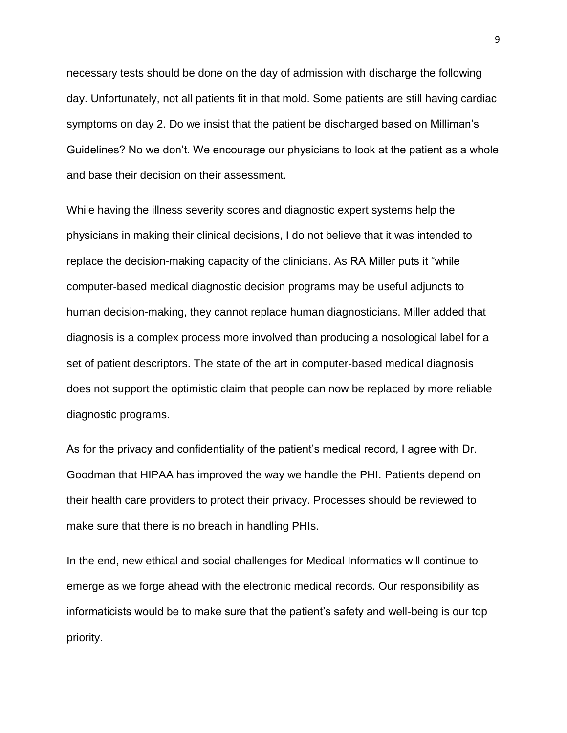necessary tests should be done on the day of admission with discharge the following day. Unfortunately, not all patients fit in that mold. Some patients are still having cardiac symptoms on day 2. Do we insist that the patient be discharged based on Milliman's Guidelines? No we don"t. We encourage our physicians to look at the patient as a whole and base their decision on their assessment.

While having the illness severity scores and diagnostic expert systems help the physicians in making their clinical decisions, I do not believe that it was intended to replace the decision-making capacity of the clinicians. As RA Miller puts it "while computer-based medical diagnostic decision programs may be useful adjuncts to human decision-making, they cannot replace human diagnosticians. Miller added that diagnosis is a complex process more involved than producing a nosological label for a set of patient descriptors. The state of the art in computer-based medical diagnosis does not support the optimistic claim that people can now be replaced by more reliable diagnostic programs.

As for the privacy and confidentiality of the patient"s medical record, I agree with Dr. Goodman that HIPAA has improved the way we handle the PHI. Patients depend on their health care providers to protect their privacy. Processes should be reviewed to make sure that there is no breach in handling PHIs.

In the end, new ethical and social challenges for Medical Informatics will continue to emerge as we forge ahead with the electronic medical records. Our responsibility as informaticists would be to make sure that the patient"s safety and well-being is our top priority.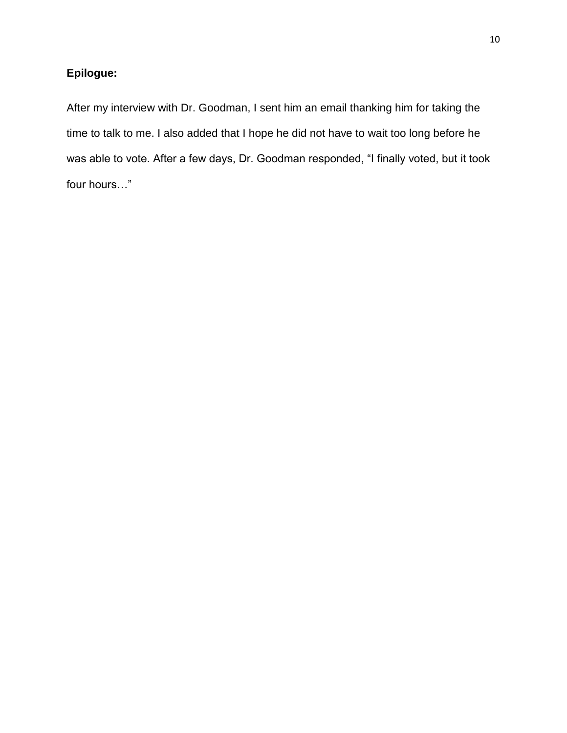# **Epilogue:**

After my interview with Dr. Goodman, I sent him an email thanking him for taking the time to talk to me. I also added that I hope he did not have to wait too long before he was able to vote. After a few days, Dr. Goodman responded, "I finally voted, but it took four hours…"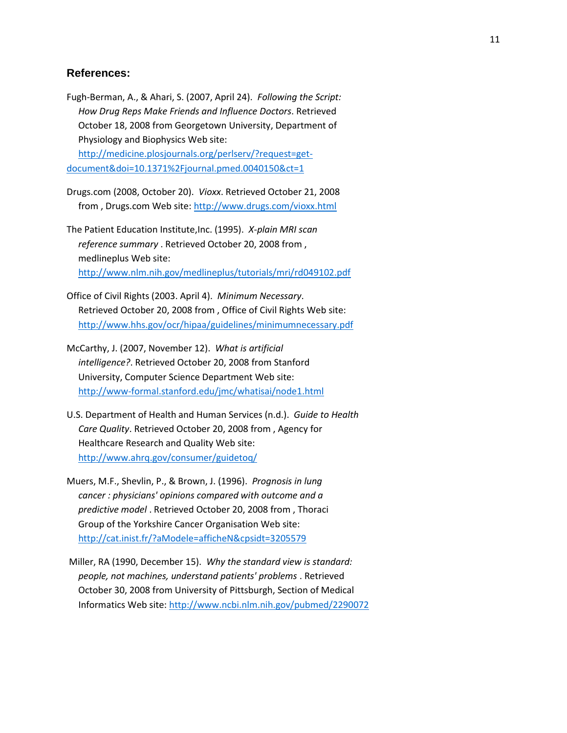## **References:**

Fugh-Berman, A., & Ahari, S. (2007, April 24). *Following the Script: How Drug Reps Make Friends and Influence Doctors*. Retrieved October 18, 2008 from Georgetown University, Department of Physiology and Biophysics Web site: [http://medicine.plosjournals.org/perlserv/?request=get-](http://medicine.plosjournals.org/perlserv/?request=get-document&doi=10.1371%2Fjournal.pmed.0040150&ct=1)

[document&doi=10.1371%2Fjournal.pmed.0040150&ct=1](http://medicine.plosjournals.org/perlserv/?request=get-document&doi=10.1371%2Fjournal.pmed.0040150&ct=1)

Drugs.com (2008, October 20). *Vioxx*. Retrieved October 21, 2008 from , Drugs.com Web site:<http://www.drugs.com/vioxx.html>

The Patient Education Institute,Inc. (1995). *X-plain MRI scan reference summary* . Retrieved October 20, 2008 from , medlineplus Web site: <http://www.nlm.nih.gov/medlineplus/tutorials/mri/rd049102.pdf>

Office of Civil Rights (2003. April 4). *Minimum Necessary*. Retrieved October 20, 2008 from , Office of Civil Rights Web site: <http://www.hhs.gov/ocr/hipaa/guidelines/minimumnecessary.pdf>

McCarthy, J. (2007, November 12). *What is artificial intelligence?*. Retrieved October 20, 2008 from Stanford University, Computer Science Department Web site: <http://www-formal.stanford.edu/jmc/whatisai/node1.html>

U.S. Department of Health and Human Services (n.d.). *Guide to Health Care Quality*. Retrieved October 20, 2008 from , Agency for Healthcare Research and Quality Web site: <http://www.ahrq.gov/consumer/guidetoq/>

Muers, M.F., Shevlin, P., & Brown, J. (1996). *Prognosis in lung cancer : physicians' opinions compared with outcome and a predictive model* . Retrieved October 20, 2008 from , Thoraci Group of the Yorkshire Cancer Organisation Web site: <http://cat.inist.fr/?aModele=afficheN&cpsidt=3205579>

Miller, RA (1990, December 15). *Why the standard view is standard: people, not machines, understand patients' problems* . Retrieved October 30, 2008 from University of Pittsburgh, Section of Medical Informatics Web site[: http://www.ncbi.nlm.nih.gov/pubmed/2290072](http://www.ncbi.nlm.nih.gov/pubmed/2290072)